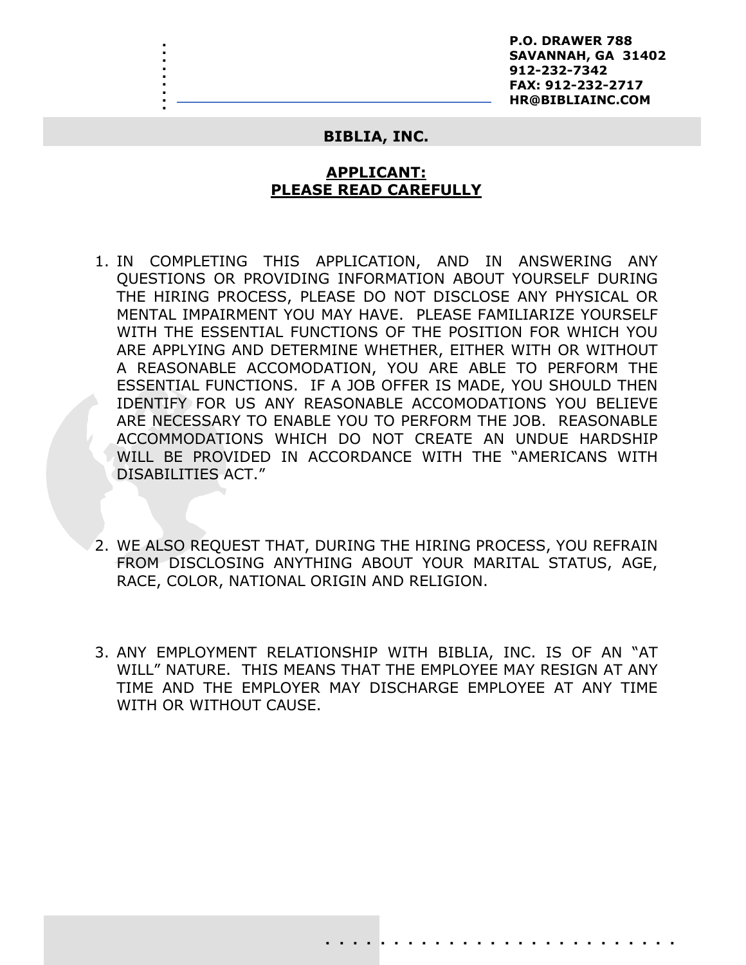**P.O. DRAWER 788 SAVANNAH, GA 31402 912-232-7342 FAX: 912-232-2717 HR@BIBLIAINC.COM**

### **BIBLIA, INC.**

. . .<br>.<br>. . :<br>: .<br>.<br>. .<br>.<br>. . .

# **APPLICANT: PLEASE READ CAREFULLY**

- 1. IN COMPLETING THIS APPLICATION, AND IN ANSWERING ANY QUESTIONS OR PROVIDING INFORMATION ABOUT YOURSELF DURING THE HIRING PROCESS, PLEASE DO NOT DISCLOSE ANY PHYSICAL OR MENTAL IMPAIRMENT YOU MAY HAVE. PLEASE FAMILIARIZE YOURSELF WITH THE ESSENTIAL FUNCTIONS OF THE POSITION FOR WHICH YOU ARE APPLYING AND DETERMINE WHETHER, EITHER WITH OR WITHOUT A REASONABLE ACCOMODATION, YOU ARE ABLE TO PERFORM THE ESSENTIAL FUNCTIONS. IF A JOB OFFER IS MADE, YOU SHOULD THEN IDENTIFY FOR US ANY REASONABLE ACCOMODATIONS YOU BELIEVE ARE NECESSARY TO ENABLE YOU TO PERFORM THE JOB. REASONABLE ACCOMMODATIONS WHICH DO NOT CREATE AN UNDUE HARDSHIP WILL BE PROVIDED IN ACCORDANCE WITH THE "AMERICANS WITH DISABILITIES ACT."
- 2. WE ALSO REQUEST THAT, DURING THE HIRING PROCESS, YOU REFRAIN FROM DISCLOSING ANYTHING ABOUT YOUR MARITAL STATUS, AGE, RACE, COLOR, NATIONAL ORIGIN AND RELIGION.
- 3. ANY EMPLOYMENT RELATIONSHIP WITH BIBLIA, INC. IS OF AN "AT WILL" NATURE. THIS MEANS THAT THE EMPLOYEE MAY RESIGN AT ANY TIME AND THE EMPLOYER MAY DISCHARGE EMPLOYEE AT ANY TIME WITH OR WITHOUT CAUSE.

. . . . . . . . . . . . . . . . . . . . . . . . . .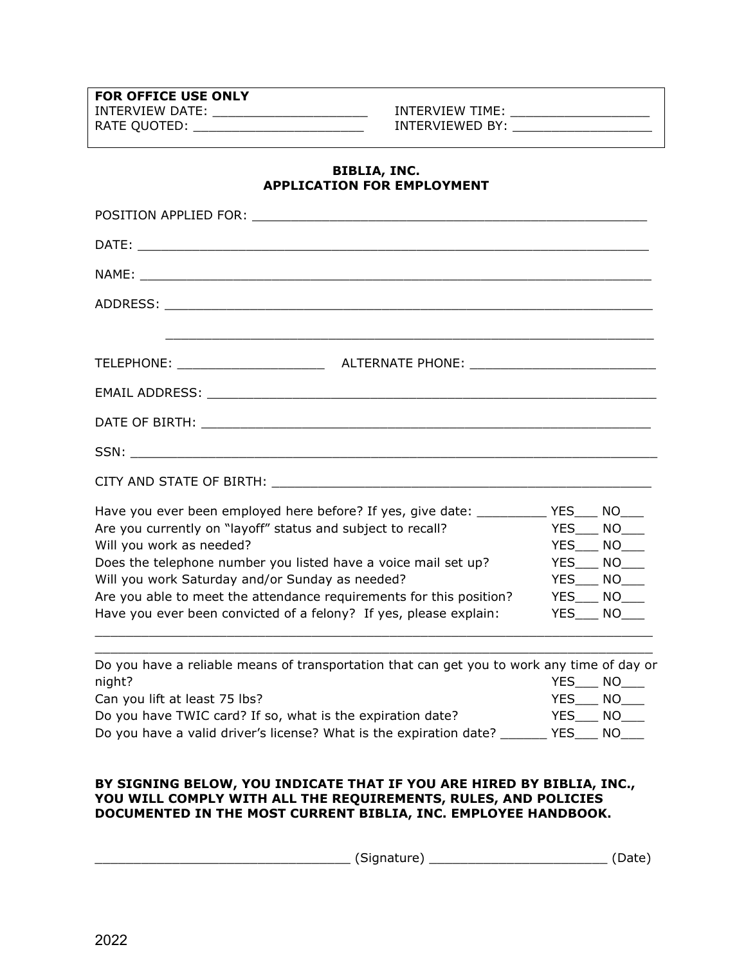**FOR OFFICE USE ONLY**

INTERVIEW DATE: \_\_\_\_\_\_\_\_\_\_\_\_\_\_\_\_\_\_\_\_\_\_\_\_\_\_\_ INTERVIEW TIME: \_\_\_\_\_\_\_\_\_\_\_\_\_\_\_\_\_\_\_ RATE QUOTED: \_\_\_\_\_\_\_\_\_\_\_\_\_\_\_\_\_\_\_\_\_\_\_\_\_\_\_\_\_\_ INTERVIEWED BY: \_\_\_\_\_\_\_\_\_\_\_\_\_\_\_\_\_\_\_

## **BIBLIA, INC. APPLICATION FOR EMPLOYMENT**

| ,我们也不能在这里的时候,我们也不能在这里的时候,我们也不能会在这里的时候,我们也不能会在这里的时候,我们也不能会在这里的时候,我们也不能会在这里的时候,我们也不                                                                                                                                              |            |                     |  |  |  |
|--------------------------------------------------------------------------------------------------------------------------------------------------------------------------------------------------------------------------------|------------|---------------------|--|--|--|
|                                                                                                                                                                                                                                |            |                     |  |  |  |
| EMAIL ADDRESS: University of the contract of the contract of the contract of the contract of the contract of the contract of the contract of the contract of the contract of the contract of the contract of the contract of t |            |                     |  |  |  |
|                                                                                                                                                                                                                                |            |                     |  |  |  |
|                                                                                                                                                                                                                                |            |                     |  |  |  |
|                                                                                                                                                                                                                                |            |                     |  |  |  |
| Have you ever been employed here before? If yes, give date: _____________YES_____NO____                                                                                                                                        |            |                     |  |  |  |
| YES____ NO____<br>Are you currently on "layoff" status and subject to recall?                                                                                                                                                  |            |                     |  |  |  |
| Will you work as needed?<br>$YES$ $NO$ $\qquad$                                                                                                                                                                                |            |                     |  |  |  |
| Does the telephone number you listed have a voice mail set up?<br>YES___ NO___                                                                                                                                                 |            |                     |  |  |  |
| Will you work Saturday and/or Sunday as needed?<br>YES___ NO___                                                                                                                                                                |            |                     |  |  |  |
| Are you able to meet the attendance requirements for this position?                                                                                                                                                            |            | YES___ NO___        |  |  |  |
| Have you ever been convicted of a felony? If yes, please explain:                                                                                                                                                              |            | $YES$ $NO$ $\qquad$ |  |  |  |
| Do you have a reliable means of transportation that can get you to work any time of day or                                                                                                                                     |            |                     |  |  |  |
| night?                                                                                                                                                                                                                         | <b>YES</b> | $NO_{\_\_\_\_\_}$   |  |  |  |

Can you lift at least 75 lbs? YES\_\_\_ NO\_\_\_ Do you have TWIC card? If so, what is the expiration date?  $YES$   $YES$   $NO$   $MOS$ Do you have a valid driver's license? What is the expiration date? \_\_\_\_\_\_\_ YES\_\_\_ NO\_\_\_

## **BY SIGNING BELOW, YOU INDICATE THAT IF YOU ARE HIRED BY BIBLIA, INC., YOU WILL COMPLY WITH ALL THE REQUIREMENTS, RULES, AND POLICIES DOCUMENTED IN THE MOST CURRENT BIBLIA, INC. EMPLOYEE HANDBOOK.**

\_\_\_\_\_\_\_\_\_\_\_\_\_\_\_\_\_\_\_\_\_\_\_\_\_\_\_\_\_\_\_\_\_ (Signature) \_\_\_\_\_\_\_\_\_\_\_\_\_\_\_\_\_\_\_\_\_\_\_ (Date)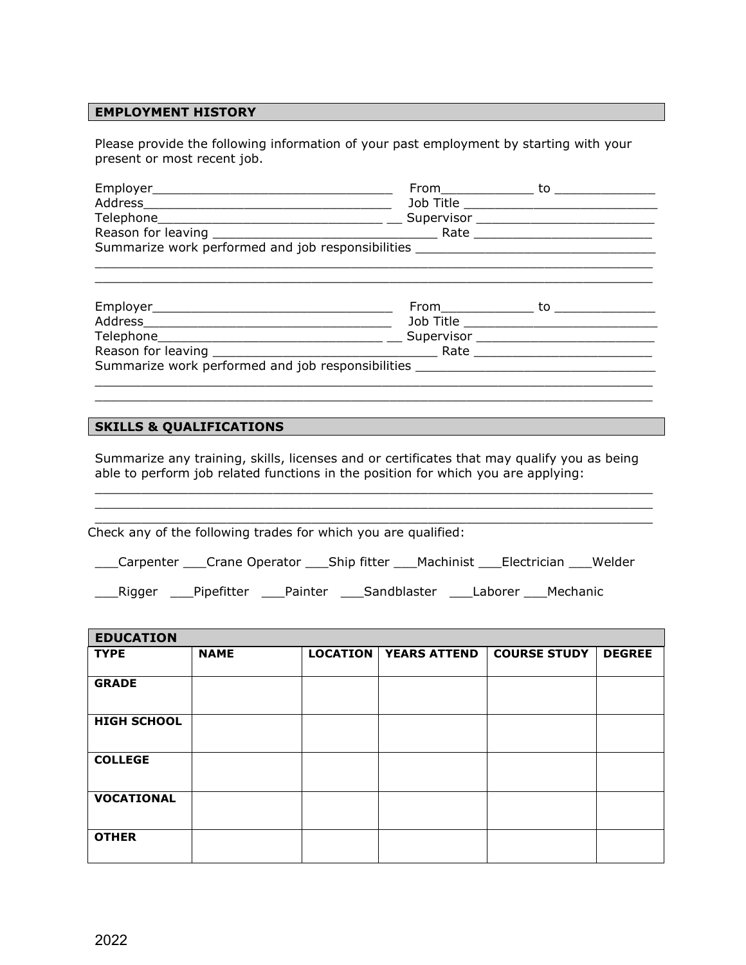### **EMPLOYMENT HISTORY**

Please provide the following information of your past employment by starting with your present or most recent job.

|                                                   | From the control of the control of the control of the control of the control of the control of the control of the control of the control of the control of the control of the control of the control of the control of the con | to |
|---------------------------------------------------|--------------------------------------------------------------------------------------------------------------------------------------------------------------------------------------------------------------------------------|----|
| Address                                           | Job Title <b>Solution</b>                                                                                                                                                                                                      |    |
|                                                   |                                                                                                                                                                                                                                |    |
|                                                   | Rate                                                                                                                                                                                                                           |    |
| Summarize work performed and job responsibilities |                                                                                                                                                                                                                                |    |
|                                                   |                                                                                                                                                                                                                                |    |
|                                                   |                                                                                                                                                                                                                                |    |
|                                                   |                                                                                                                                                                                                                                |    |

| Employer___________                                                      | From the second second second second second second second second second second second second second second second second second second second second second second second second second second second second second second sec | τо |
|--------------------------------------------------------------------------|--------------------------------------------------------------------------------------------------------------------------------------------------------------------------------------------------------------------------------|----|
| Address                                                                  | Job Title                                                                                                                                                                                                                      |    |
| Telephone<br><u> 1989 - Johann Stoff, amerikansk politiker (d. 1989)</u> | Supervisor                                                                                                                                                                                                                     |    |
|                                                                          | Rate                                                                                                                                                                                                                           |    |
| Summarize work performed and job responsibilities                        |                                                                                                                                                                                                                                |    |
|                                                                          |                                                                                                                                                                                                                                |    |

 $\_$  , and the set of the set of the set of the set of the set of the set of the set of the set of the set of the set of the set of the set of the set of the set of the set of the set of the set of the set of the set of th

### **SKILLS & QUALIFICATIONS**

Summarize any training, skills, licenses and or certificates that may qualify you as being able to perform job related functions in the position for which you are applying:

 $\_$  , and the set of the set of the set of the set of the set of the set of the set of the set of the set of the set of the set of the set of the set of the set of the set of the set of the set of the set of the set of th  $\_$  , and the set of the set of the set of the set of the set of the set of the set of the set of the set of the set of the set of the set of the set of the set of the set of the set of the set of the set of the set of th

 $\_$  , and the set of the set of the set of the set of the set of the set of the set of the set of the set of the set of the set of the set of the set of the set of the set of the set of the set of the set of the set of th Check any of the following trades for which you are qualified:

\_\_\_Carpenter \_\_\_Crane Operator \_\_\_Ship fitter \_\_\_Machinist \_\_\_Electrician \_\_\_Welder

\_\_\_Rigger \_\_\_Pipefitter \_\_\_Painter \_\_\_Sandblaster \_\_\_Laborer \_\_\_Mechanic

| <b>EDUCATION</b>   |             |                                |                     |               |
|--------------------|-------------|--------------------------------|---------------------|---------------|
| <b>TYPE</b>        | <b>NAME</b> | <b>LOCATION   YEARS ATTEND</b> | <b>COURSE STUDY</b> | <b>DEGREE</b> |
|                    |             |                                |                     |               |
| <b>GRADE</b>       |             |                                |                     |               |
|                    |             |                                |                     |               |
| <b>HIGH SCHOOL</b> |             |                                |                     |               |
|                    |             |                                |                     |               |
| <b>COLLEGE</b>     |             |                                |                     |               |
|                    |             |                                |                     |               |
| <b>VOCATIONAL</b>  |             |                                |                     |               |
|                    |             |                                |                     |               |
| <b>OTHER</b>       |             |                                |                     |               |
|                    |             |                                |                     |               |
|                    |             |                                |                     |               |